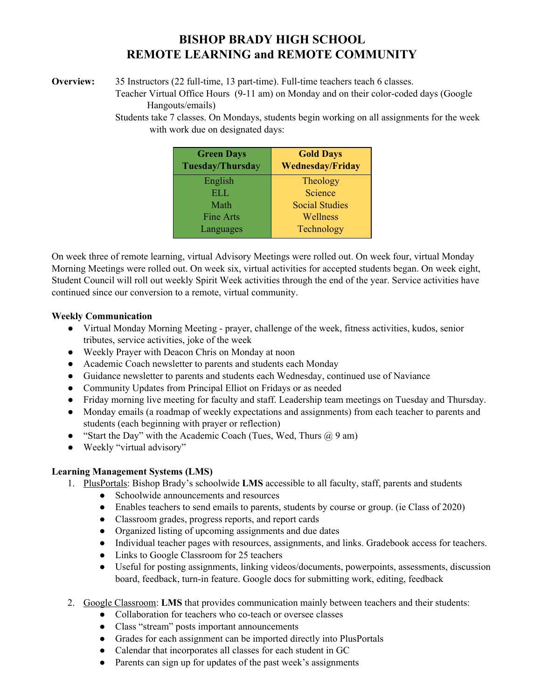## **BISHOP BRADY HIGH SCHOOL REMOTE LEARNING and REMOTE COMMUNITY**

**Overview:** 35 Instructors (22 full-time, 13 part-time). Full-time teachers teach 6 classes.

Teacher Virtual Office Hours (9-11 am) on Monday and on their color-coded days (Google Hangouts/emails)

Students take 7 classes. On Mondays, students begin working on all assignments for the week with work due on designated days:

| <b>Green Days</b><br>Tuesday/Thursday | <b>Gold Days</b><br><b>Wednesday/Friday</b> |
|---------------------------------------|---------------------------------------------|
| English                               | Theology                                    |
| ELL.                                  | Science                                     |
| Math                                  | <b>Social Studies</b>                       |
| Fine Arts                             | Wellness                                    |
| Languages                             | Technology                                  |

On week three of remote learning, virtual Advisory Meetings were rolled out. On week four, virtual Monday Morning Meetings were rolled out. On week six, virtual activities for accepted students began. On week eight, Student Council will roll out weekly Spirit Week activities through the end of the year. Service activities have continued since our conversion to a remote, virtual community.

## **Weekly Communication**

- Virtual Monday Morning Meeting prayer, challenge of the week, fitness activities, kudos, senior tributes, service activities, joke of the week
- Weekly Prayer with Deacon Chris on Monday at noon
- Academic Coach newsletter to parents and students each Monday
- Guidance newsletter to parents and students each Wednesday, continued use of Naviance
- Community Updates from Principal Elliot on Fridays or as needed
- Friday morning live meeting for faculty and staff. Leadership team meetings on Tuesday and Thursday.
- Monday emails (a roadmap of weekly expectations and assignments) from each teacher to parents and students (each beginning with prayer or reflection)
- "Start the Day" with the Academic Coach (Tues, Wed, Thurs  $(a) 9$  am)
- Weekly "virtual advisory"

## **Learning Management Systems (LMS)**

- 1. PlusPortals: Bishop Brady's schoolwide **LMS** accessible to all faculty, staff, parents and students
	- Schoolwide announcements and resources
	- Enables teachers to send emails to parents, students by course or group. (ie Class of 2020)
	- Classroom grades, progress reports, and report cards
	- Organized listing of upcoming assignments and due dates
	- Individual teacher pages with resources, assignments, and links. Gradebook access for teachers.
	- Links to Google Classroom for 25 teachers
	- Useful for posting assignments, linking videos/documents, powerpoints, assessments, discussion board, feedback, turn-in feature. Google docs for submitting work, editing, feedback
- 2. Google Classroom: **LMS** that provides communication mainly between teachers and their students:
	- Collaboration for teachers who co-teach or oversee classes
	- Class "stream" posts important announcements
	- Grades for each assignment can be imported directly into PlusPortals
	- Calendar that incorporates all classes for each student in GC
	- Parents can sign up for updates of the past week's assignments